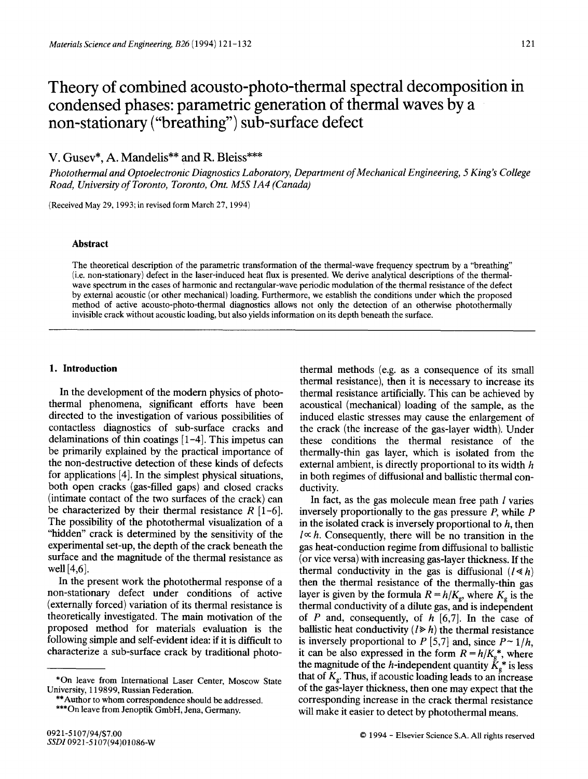# **Theory of combined acousto-photo-thermal spectral decomposition in condensed phases: parametric generation of thermal waves by a non-stationary ("breathing") sub-surface defect**

**V. Gusev\*, A.** Mandelis\*\* and R. Bleiss\*\*\*

*Photothermal and Optoelectronic Diagnostics Laboratory, Department of Mechanical Engineering, 5 King's College Road, University of Toronto, Toronto, Ont. M5S 1A4 (Canada)* 

(Received May 29, 1993; in revised form March 27, 1994)

# **Abstract**

The theoretical description of the parametric transformation of the thermal-wave frequency spectrum by a "breathing" (i.e. non-stationary) defect in the laser-induced heat flux is presented. We derive analytical descriptions of the thermalwave spectrum in the cases of harmonic and rectangular-wave periodic modulation of the thermal resistance of the defect by external acoustic (or other mechanical) loading. Furthermore, we establish the conditions under which the proposed method of active acousto-photo-thermal diagnostics allows not only the detection of an otherwise photothermally invisible crack without acoustic loading, but also yields information on its depth beneath the surface.

# **1. Introduction**

In the development of the modern physics of photothermal phenomena, significant efforts have been directed to the investigation of various possibilities of contactless diagnostics of sub-surface cracks and delaminations of thin coatings [1-4]. This impetus can be primarily explained by the practical importance of the non-destructive detection of these kinds of defects for applications  $[4]$ . In the simplest physical situations, both open cracks (gas-filled gaps) and closed cracks (intimate contact of the two surfaces of the crack) can be characterized by their thermal resistance  $R$  [1-6]. The possibility of the photothermal visualization of a "hidden" crack is determined by the sensitivity of the experimental set-up, the depth of the crack beneath the surface and the magnitude of the thermal resistance as well  $[4,6]$ .

In the present work the photothermal response of a non-stationary defect under conditions of active (externally forced) variation of its thermal resistance is theoretically investigated. The main motivation of the proposed method for materials evaluation is the following simple and self-evident idea: if it is difficult to characterize a sub-surface crack by traditional photo-

\*\*Author to whom correspondence should be addressed. \*\*\*On leave from Jenoptik GmbH, Jena, Germany.

thermal methods (e.g. as a consequence of its small thermal resistance), then it is necessary to increase its thermal resistance artificially. This can be achieved by acoustical (mechanical) loading of the sample, as the induced elastic stresses may cause the enlargement of the crack (the increase of the gas-layer width). Under these conditions the thermal resistance of the thermally-thin gas layer, which is isolated from the external ambient, is directly proportional to its width  $h$ in both regimes of diffusional and ballistic thermal conductivity.

In fact, as the gas molecule mean free path *l* varies inversely proportionally to the gas pressure P, while P in the isolated crack is inversely proportional to  $h$ , then  $l \propto h$ . Consequently, there will be no transition in the gas heat-conduction regime from diffusional to ballistic (or vice versa) with increasing gas-layer thickness. If the thermal conductivity in the gas is diffusional  $(l \ll h)$ then the thermal resistance of the thermally-thin gas layer is given by the formula  $R = h/K_g$ , where  $K_g$  is the thermal conductivity of a dilute gas, and is independent of P and, consequently, of  $h$  [6,7]. In the case of ballistic heat conductivity  $(l \ge h)$  the thermal resistance is inversely proportional to  $P$  [5,7] and, since  $P \sim 1/h$ , it can be also expressed in the form  $R = h/K<sub>s</sub>^*$ , where the magnitude of the *h*-independent quantity  $K_s^*$  is less that of  $K_{\rm g}$ . Thus, if acoustic loading leads to an increase of the gas-layer thickness, then one may expect that the corresponding increase in the crack thermal resistance will make it easier to detect by photothermal means.

<sup>\*</sup>On leave from International Laser Center, Moscow State University, 119899, Russian Federation.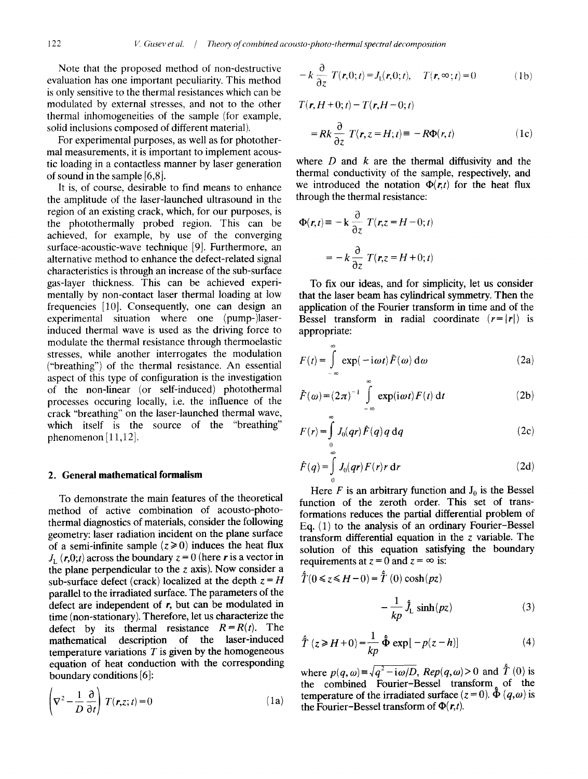Note that the proposed method of non-destructive evaluation has one important peculiarity. This method is only sensitive to the thermal resistances which can be modulated by external stresses, and not to the other thermal inhomogeneities of the sample (for example, solid inclusions composed of different material).

For experimental purposes, as well as for photothermal measurements, it is important to implement acoustic loading in a contactless manner by laser generation of sound in the sample [6,8].

It is, of course, desirable to find means to enhance the amplitude of the laser-launched ultrasound in the region of an existing crack, which, for our purposes, is the photothermally probed region. This can be achieved, for example, by use of the converging surface-acoustic-wave technique [9]. Furthermore, an alternative method to enhance the defect-related signal characteristics is through an increase of the sub-surface gas-layer thickness. This can be achieved experimentally by non-contact laser thermal loading at low frequencies [10]. Consequently, one can design an experimental situation where one (pump-)laserinduced thermal wave is used as the driving force to modulate the thermal resistance through thermoelastic stresses, while another interrogates the modulation ("breathing") of the thermal resistance. An essential aspect of this type of configuration is the investigation of the non-linear (or self-induced) photothermal processes occuring locally, i.e. the influence of the crack "breathing" on the laser-launched thermal wave, which itself is the source of the "breathing" phenomenon  $[11,12]$ .

#### **2. General mathematical formalism**

To demonstrate the main features of the theoretical method of active combination of acousto-photothermal diagnostics of materials, consider the following geometry: laser radiation incident on the plane surface of a semi-infinite sample  $(z \ge 0)$  induces the heat flux  $J_{1}$  (r,0;t) across the boundary  $z = 0$  (here r is a vector in the plane perpendicular to the z axis). Now consider a sub-surface defect (crack) localized at the depth  $z = H$ parallel to the irradiated surface. The parameters of the defect are independent of  $r$ , but can be modulated in time (non-stationary). Therefore, let us characterize the defect by its thermal resistance  $R = R(t)$ . The mathematical description of the laser-induced temperature variations  $T$  is given by the homogeneous equation of heat conduction with the corresponding boundary conditions [6]:

$$
\left(\nabla^2 - \frac{1}{D} \frac{\partial}{\partial t}\right) T(r, z; t) = 0
$$
\n(1a)

$$
-k\frac{\partial}{\partial z}T(\mathbf{r},0;t)=J_{\mathsf{L}}(\mathbf{r},0;t),\quad T(\mathbf{r},\infty;t)=0\tag{1b}
$$

$$
T(\mathbf{r}, H+0; t) - T(\mathbf{r}, H-0; t)
$$
  
=  $Rk \frac{\partial}{\partial z} T(\mathbf{r}, z = H; t) = -R\Phi(\mathbf{r}, t)$  (1c)

where  $D$  and  $k$  are the thermal diffusivity and the thermal conductivity of the sample, respectively, and we introduced the notation  $\Phi(r,t)$  for the heat flux through the thermal resistance:

$$
\Phi(\mathbf{r},t) = -k \frac{\partial}{\partial z} T(\mathbf{r},z = H - 0; t)
$$

$$
= -k \frac{\partial}{\partial z} T(\mathbf{r},z = H + 0; t)
$$

To fix our ideas, and for simplicity, let us consider that the laser beam has cylindrical symmetry. Then the application of the Fourier transform in time and of the Bessel transform in radial coordinate  $(r=|\mathbf{r}|)$  is appropriate:

$$
F(t) = \int_{-\infty}^{\infty} \exp(-i\omega t) \tilde{F}(\omega) d\omega
$$
 (2a)

$$
\tilde{F}(\omega) = (2\pi)^{-1} \int_{-\infty}^{\infty} \exp(i\omega t) F(t) dt
$$
 (2b)

$$
F(r) = \int_{0}^{\infty} J_0(qr) \hat{F}(q) q \, dq \qquad (2c)
$$

$$
\hat{F}(q) = \int_{0}^{\infty} J_0(qr) F(r) r \, \mathrm{d}r \tag{2d}
$$

Here F is an arbitrary function and  $J_0$  is the Bessel function of the zeroth order. This set of transformations reduces the partial differential problem of Eq. (1) to the analysis of an ordinary Fourier-Bessel transform differential equation in the z variable. The solution of this equation satisfying the boundary requirements at  $z = 0$  and  $z = \infty$  is:

$$
\hat{T}(0 \le z \le H - 0) = \hat{T}(0) \cosh(pz)
$$

$$
-\frac{1}{kp} \hat{J}_L \sinh(pz)
$$
(3)

$$
\hat{\tilde{T}}(z \ge H + 0) = \frac{1}{kp} \hat{\tilde{\Phi}} \exp[-p(z - h)] \tag{4}
$$

where  $p(q,\omega) = \sqrt{q^2 - i\omega/D}$ ,  $Rep(q,\omega) > 0$  and  $T(0)$  is the combined Fourier-Bessel transform of the temperature of the irradiated surface  $(z=0)$ .  $\tilde{\Phi}(q,\omega)$  is the Fourier-Bessel transform of  $\Phi(r, t)$ .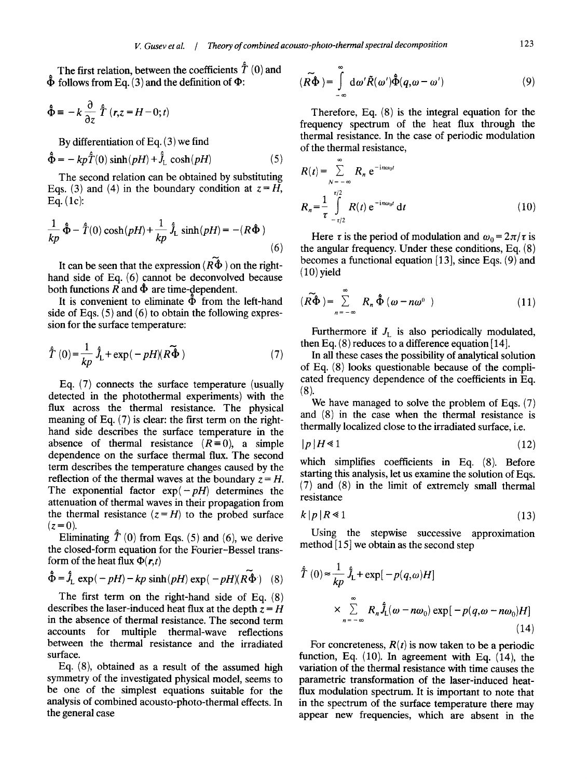The first relation, between the coefficients  $\tilde{T}(0)$  and  $\hat{\Phi}$  follows from Eq. (3) and the definition of  $\Phi$ :

$$
\hat{\Phi} = -k \frac{\partial}{\partial z} \hat{\tilde{T}} (r, z = H - 0; t)
$$

By differentiation of Eq. (3) we find  
\n
$$
\hat{\Phi} = -kp\hat{T}(0)\sinh(pH) + \hat{J}_L \cosh(pH)
$$
\n(5)

The second relation can be obtained by substituting Eqs. (3) and (4) in the boundary condition at  $z = H$ , Eq.  $(1c)$ :

$$
\frac{1}{kp}\,\hat{\Phi} - \hat{T}(0)\cosh(pH) + \frac{1}{kp}\,\hat{J}_L\,\sinh(pH) = -(R\,\hat{\Phi})\tag{6}
$$

It can be seen that the expression  $(R\hat{\Phi})$  on the righthand side of Eq. (6) cannot be deconvolved because both functions  $\overline{R}$  and  $\overline{\Phi}$  are time-dependent.

It is convenient to eliminate  $\Phi$  from the left-hand side of Eqs.  $(5)$  and  $(6)$  to obtain the following expression for the surface temperature:

$$
\hat{\tilde{T}}(0) = \frac{1}{kp} \hat{J}_L + \exp(-pH)(R\tilde{\hat{\Phi}})
$$
\n(7)

Eq. (7) connects the surface temperature (usually detected in the photothermal experiments) with the flux across the thermal resistance. The physical meaning of Eq.  $(7)$  is clear: the first term on the righthand side describes the surface temperature in the absence of thermal resistance  $(R=0)$ , a simple dependence on the surface thermal flux. The second term describes the temperature changes caused by the reflection of the thermal waves at the boundary  $z = H$ . The exponential factor  $exp(-pH)$  determines the attenuation of thermal waves in their propagation from the thermal resistance  $(z = H)$  to the probed surface  $(z=0)$ .

Eliminating  $\tilde{T}(0)$  from Eqs. (5) and (6), we derive the closed-form equation for the Fourier-Bessel transform of the heat flux  $\Phi(\mathbf{r},t)$ 

$$
\hat{\Phi} = \hat{J}_L \exp(-pH) - kp \sinh(pH) \exp(-pH)(R\hat{\Phi})
$$
 (8)

The first term on the right-hand side of Eq. (8) describes the laser-induced heat flux at the depth  $z = H$ in the absence of thermal resistance. The second term accounts for multiple thermal-wave reflections between the thermal resistance and the irradiated surface.

Eq. (8), obtained as a result of the assumed high symmetry of the investigated physical model, seems to be one of the simplest equations suitable for the analysis of combined acousto-photo-thermal effects. In the general case

$$
\widetilde{\left(R\Phi\right)} = \int\limits_{-\infty}^{\infty} d\omega' \widetilde{R}(\omega') \widehat{\Phi}(q, \omega - \omega') \tag{9}
$$

Therefore, Eq. (8) is the integral equation for the frequency spectrum of the heat flux through the thermal resistance. In the case of periodic modulation of the thermal resistance,

$$
R(t) = \sum_{N = -\infty}^{\infty} R_n e^{-in\omega_0 t}
$$
  

$$
R_n = \frac{1}{\tau} \int_{-\tau/2}^{\tau/2} R(t) e^{-in\omega_0 t} dt
$$
 (10)

Here  $\tau$  is the period of modulation and  $\omega_0 = 2\pi/\tau$  is the angular frequency. Under these conditions, Eq. (8) becomes a functional equation [13], since Eqs.  $(9)$  and  $(10)$  yield

$$
(\widetilde{R\Phi}) = \sum_{n=-\infty}^{\infty} R_n \hat{\Phi} (\omega - n\omega^0)
$$
 (11)

Furthermore if  $J_L$  is also periodically modulated, then Eq.  $(8)$  reduces to a difference equation [14].

In all these cases the possibility of analytical solution of Eq. (8) looks questionable because of the complicated frequency dependence of the coefficients in Eq. **(8).** 

We have managed to solve the problem of Eqs. (7) and (8) in the case when the thermal resistance is thermally localized close to the irradiated surface, i.e.

$$
|p|H \le 1 \tag{12}
$$

which simplifies coefficients in Eq. (8). Before starting this analysis, let us examine the solution of Eqs. (7) and (8) in the limit of extremely small thermal resistance

$$
k|p|R \leq 1 \tag{13}
$$

Using the stepwise successive approximation method [15] we obtain as the second step

$$
\hat{\tilde{T}}(0) \approx \frac{1}{kp} \hat{J}_L + \exp[-p(q,\omega)H]
$$
  
 
$$
\times \sum_{n=-\infty}^{\infty} R_n \hat{J}_L(\omega - n\omega_0) \exp[-p(q,\omega - n\omega_0)H]
$$
(14)

For concreteness,  $R(t)$  is now taken to be a periodic function, Eq. (10). In agreement with Eq. (14), the variation of the thermal resistance with time causes the parametric transformation of the laser-induced heatflux modulation spectrum. It is important to note that in the spectrum of the surface temperature there may appear new frequencies, which are absent in the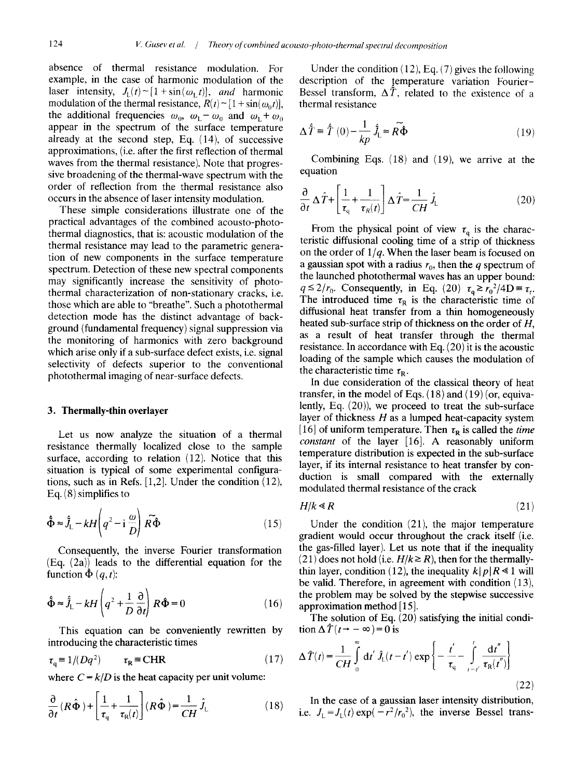absence of thermal resistance modulation. For example, in the case of harmonic modulation of the laser intensity,  $J_L(t) \sim [1 + \sin(\omega_t t)]$ , *and* harmonic modulation of the thermal resistance,  $R(t) \sim [1 + \sin(\omega_0 t)],$ the additional frequencies  $\omega_0$ ,  $\omega_1 - \omega_0$  and  $\omega_1 + \omega_0$ appear in the spectrum of the surface temperature already at the second step, Eq. (14), of successive approximations, (i.e. after the first reflection of thermal waves from the thermal resistance). Note that progressive broadening of the thermal-wave spectrum with the order of reflection from the thermal resistance also occurs in the absence of laser intensity modulation.

These simple considerations illustrate one of the practical advantages of the combined acousto-photothermal diagnostics, that is: acoustic modulation of the thermal resistance may lead to the parametric generation of new components in the surface temperature spectrum. Detection of these new spectral components may significantly increase the sensitivity of photothermal characterization of non-stationary cracks, i.e. those which are able to "breathe". Such a photothermal detection mode has the distinct advantage of background (fundamental frequency) signal suppression via the monitoring of harmonics with zero background which arise only if a sub-surface defect exists, i.e. signal selectivity of defects superior to the conventional photothermal imaging of near-surface defects.

## **3. Thermally-thin overlayer**

Let us now analyze the situation of a thermal resistance thermally localized close to the sample surface, according to relation (12). Notice that this situation is typical of some experimental configurations, such as in Refs. [1,2]. Under the condition (12), Eq.  $(8)$  simplifies to

$$
\hat{\Phi} \approx \hat{J}_L - kH \left( q^2 - i \frac{\omega}{D} \right) R \hat{\Phi}
$$
 (15)

Consequently, the inverse Fourier transformation (Eq. (2a)) leads to the differential equation for the function  $\hat{\Phi}(q, t)$ :

$$
\hat{\Phi} \approx \hat{J}_L - kH \left( q^2 + \frac{1}{D} \frac{\partial}{\partial t} \right) R \Phi = 0 \tag{16}
$$

This equation can be conveniently rewritten by introducing the characteristic times

$$
\tau_{\rm o} \equiv 1/(Dq^2) \qquad \tau_{\rm R} \equiv \text{CHR} \tag{17}
$$

where  $C = k/D$  is the heat capacity per unit volume:

$$
\frac{\partial}{\partial t}(R\hat{\Phi}) + \left[\frac{1}{\tau_{q}} + \frac{1}{\tau_{R}(t)}\right](R\hat{\Phi}) = \frac{1}{CH}\hat{J}_{L}
$$
(18)

Under the condition  $(12)$ , Eq.  $(7)$  gives the following description of the temperature variation Fourier-Bessel transform,  $\Delta \tilde{T}$ , related to the existence of a thermal resistance

$$
\Delta \hat{\tilde{T}} = \hat{\tilde{T}}(0) - \frac{1}{kp} \hat{J}_L \approx \widetilde{R\Phi}
$$
 (19)

Combining Eqs. (18) and (19), we arrive at the equation

$$
\frac{\partial}{\partial t} \Delta \hat{T} + \left[ \frac{1}{\tau_{\mathbf{q}}} + \frac{1}{\tau_{R}(t)} \right] \Delta \hat{T} = \frac{1}{CH} \hat{J}_{\mathbf{L}} \tag{20}
$$

From the physical point of view  $\tau_a$  is the characteristic diffusional cooling time of a strip of thickness on the order of *1/q.* When the laser beam is focused on a gaussian spot with a radius  $r_0$ , then the q spectrum of the launched photothermal waves has an upper bound:  $q \le 2/r_0$ . Consequently, in Eq. (20)  $\tau_q \ge r_0^2/4D = \tau_r$ . The introduced time  $\tau_R$  is the characteristic time of diffusional heat transfer from a thin homogeneously heated sub-surface strip of thickness on the order of H, as a result of heat transfer through the thermal resistance. In accordance with Eq. (20) it is the acoustic loading of the sample which causes the modulation of the characteristic time  $\tau_{\text{R}}$ .

In due consideration of the classical theory of heat transfer, in the model of Eqs.  $(18)$  and  $(19)$  (or, equivalently, Eq. (20)), we proceed to treat the sub-surface layer of thickness  $H$  as a lumped heat-capacity system [16] of uniform temperature. Then  $\tau_R$  is called the *time constant* of the layer [16]. A reasonably uniform temperature distribution is expected in the sub-surface layer, if its internal resistance to heat transfer by conduction is small compared with the externally modulated thermal resistance of the crack

$$
H/k \ll R \tag{21}
$$

Under the condition (21), the major temperature gradient would occur throughout the crack itself (i.e. the gas-filled layer). Let us note that if the inequality  $(21)$  does not hold (i.e.  $H/k \ge R$ ), then for the thermallythin layer, condition (12), the inequality  $k | p | R \le 1$  will be valid. Therefore, in agreement with condition (13), the problem may be solved by the stepwise successive approximation method [15].

The solution of Eq. (20) satisfying the initial condition  $\Delta \hat{T}(t \rightarrow -\infty) = 0$  is

$$
\Delta \hat{T}(t) = \frac{1}{CH} \int_{0}^{\infty} dt' \hat{J}_{L}(t - t') \exp\left\{-\frac{t'}{\tau_{q}} - \int_{t - t'}^{t} \frac{dt''}{\tau_{R}(t'')} \right\}
$$
(22)

In the case of a gaussian laser intensity distribution, i.e.  $J_L = J_L(t) \exp(-r^2/r_0^2)$ , the inverse Bessel trans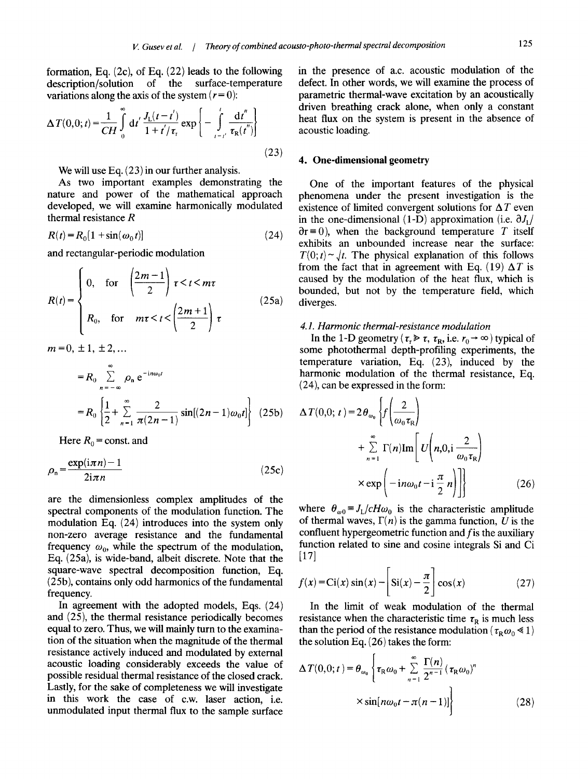formation, Eq.  $(2c)$ , of Eq.  $(22)$  leads to the following description/solution of the surface-temperature variations along the axis of the system  $(r=0)$ :

$$
\Delta T(0,0;t) = \frac{1}{CH} \int_{0}^{\infty} dt' \frac{J_{L}(t-t')}{1+t'/\tau_{r}} \exp\left\{-\int_{t-t'}^{t} \frac{dt''}{\tau_{R}(t'')} \right\}
$$
(23)

We will use Eq.  $(23)$  in our further analysis.

As two important examples demonstrating the nature and power of the mathematical approach developed, we will examine harmonically modulated thermal resistance R

$$
R(t) = R_0[1 + \sin(\omega_0 t)] \tag{24}
$$

and rectangular-periodic modulation

$$
R(t) = \begin{cases} 0, & \text{for} \quad \left(\frac{2m-1}{2}\right) \tau < t < m\tau \\ R_0, & \text{for} \quad m\tau < t < \left(\frac{2m+1}{2}\right) \tau \end{cases} \tag{25a}
$$

 $m=0, \pm 1, \pm 2, \ldots$ 

$$
= R_0 \sum_{n=-\infty}^{\infty} \rho_n e^{-in\omega_0 t}
$$
  
=  $R_0 \left\{ \frac{1}{2} + \sum_{n=1}^{\infty} \frac{2}{\pi(2n-1)} \sin[(2n-1)\omega_0 t] \right\}$  (25b)

Here  $R_0$  = const. and

$$
\rho_n = \frac{\exp(i\pi n) - 1}{2i\pi n} \tag{25c}
$$

are the dimensionless complex amplitudes of the spectral components of the modulation function. The modulation Eq. (24) introduces into the system only non-zero average resistance and the fundamental frequency  $\omega_0$ , while the spectrum of the modulation, Eq. (25a), is wide-band, albeit discrete. Note that the square-wave spectral decomposition function, Eq. (25b), contains only odd harmonics of the fundamental frequency.

In agreement with the adopted models, Eqs. (24) and (25), the thermal resistance periodically becomes equal to zero. Thus, we will mainly turn to the examination of the situation when the magnitude of the thermal resistance actively induced and modulated by external acoustic loading considerably exceeds the value of possible residual thermal resistance of the closed crack. Lastly, for the sake of completeness we will investigate in this work the case of c.w. laser action, i.e. unmodulated input thermal flux to the sample surface

in the presence of a.c. acoustic modulation of the defect. In other words, we will examine the process of parametric thermal-wave excitation by an acoustically driven breathing crack alone, when only a constant heat flux on the system is present in the absence of acoustic loading.

## **4. One-dimensional geometry**

One of the important features of the physical phenomena under the present investigation is the existence of limited convergent solutions for  $\Delta T$  even in the one-dimensional (1-D) approximation (i.e.  $\partial J_1$ )  $\partial r = 0$ ), when the background temperature T itself exhibits an unbounded increase near the surface:  $T(0; t) \sim \sqrt{t}$ . The physical explanation of this follows from the fact that in agreement with Eq. (19)  $\Delta T$  is caused by the modulation of the heat flux, which is bounded, but not by the temperature field, which diverges.

## *4.1. Harmonic thermal-resistance modulation*

In the 1-D geometry ( $\tau_r \gg \tau$ ,  $\tau_R$ , i.e.  $r_0 \rightarrow \infty$ ) typical of some photothermal depth-profiling experiments, the temperature variation, Eq. (23), induced by the harmonic modulation of the thermal resistance, Eq. (24), can be expressed in the form:

$$
\Delta T(0,0; t) = 2\theta_{\omega_0} \left\{ f\left(\frac{2}{\omega_0 \tau_R}\right) + \sum_{n=1}^{\infty} \Gamma(n) \text{Im} \left[ U\left(n, 0, i \frac{2}{\omega_0 \tau_R}\right) \right] \right\}
$$
  
×  $\exp\left(-i n \omega_0 t - i \frac{\pi}{2} n\right) \left[\right]$  (26)

where  $\theta_{\omega 0} = J_L/cH\omega_0$  is the characteristic amplitude of thermal waves,  $\Gamma(n)$  is the gamma function, U is the confluent hypergeometric function and fis the auxiliary function related to sine and cosine integrals Si and Ci [17]

$$
f(x) = Ci(x)\sin(x) - \left[\text{Si}(x) - \frac{\pi}{2}\right]\cos(x) \tag{27}
$$

L.

In the limit of weak modulation of the thermal resistance when the characteristic time  $\tau_R$  is much less than the period of the resistance modulation ( $\tau_R \omega_0 \ll 1$ ) the solution Eq.  $(26)$  takes the form:

$$
\Delta T(0,0;t) = \theta_{\omega_0} \left\{ \tau_{\mathbf{R}} \omega_0 + \sum_{n=1}^{\infty} \frac{\Gamma(n)}{2^{n-1}} (\tau_{\mathbf{R}} \omega_0)^n \right\}
$$

$$
\times \sin[n\omega_0 t - \pi(n-1)] \right\}
$$
(28)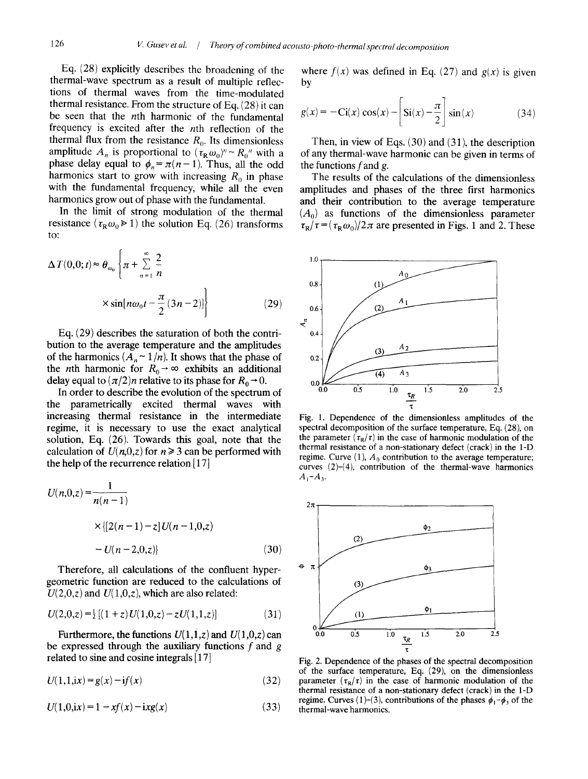Eq. (28) explicitly describes the broadening of the thermal-wave spectrum as a result of multiple reflections of thermal waves from the time-modulated thermal resistance. From the structure of Eq. (28) it can be seen that the nth harmonic of the fundamental frequency is excited after the nth reflection of the thermal flux from the resistance  $R_0$ . Its dimensionless amplitude  $A_n$  is proportional to  $(\tau_R \omega_0)^n \sim R_0^n$  with a phase delay equal to  $\phi_n = \pi(n-1)$ . Thus, all the odd harmonics start to grow with increasing  $R_0$  in phase with the fundamental frequency, while all the even harmonics grow out of phase with the fundamental.

In the limit of strong modulation of the thermal resistance ( $\tau_R \omega_0 \ge 1$ ) the solution Eq. (26) transforms to:

$$
\Delta T(0,0;t) \approx \theta_{\omega_0} \left\{ \pi + \sum_{n=1}^{\infty} \frac{2}{n} \right\}
$$
  
 
$$
\times \sin[n\omega_0 t - \frac{\pi}{2} (3n - 2)] \right\}
$$
 (29)

Eq. (29) describes the saturation of both the contribution to the average temperature and the amplitudes of the harmonics  $(A_n \sim 1/n)$ . It shows that the phase of the *n*th harmonic for  $R_0 \rightarrow \infty$  exhibits an additional delay equal to  $(\pi/2)n$  relative to its phase for  $R_0 \rightarrow 0$ .

In order to describe the evolution of the spectrum of the parametrically excited thermal waves with increasing thermal resistance in the intermediate regime, it is necessary to use the exact analytical solution, Eq. (26). Towards this goal, note that the calculation of  $U(n,0,z)$  for  $n \ge 3$  can be performed with the help of the recurrence relation  $[17]$ 

$$
U(n,0,z) = \frac{1}{n(n-1)}
$$
  
×{[2(n-1)-z]U(n-1,0,z)  
– U(n-2,0,z)} (30)

Therefore, all calculations of the confluent hypergeometric function are reduced to the calculations of  $U(2,0,z)$  and  $U(1,0,z)$ , which are also related:

$$
U(2,0,z) = \frac{1}{2} \left[ (1+z) U(1,0,z) - z U(1,1,z) \right] \tag{31}
$$

Furthermore, the functions  $U(1,1,z)$  and  $U(1,0,z)$  can be expressed through the auxiliary functions f and g related to sine and cosine integrals [17]

$$
U(1,1,i x) = g(x) - if(x)
$$
 (32)

$$
U(1,0,ix) = 1 - xf(x) - ixg(x)
$$
 (33)

where  $f(x)$  was defined in Eq. (27) and  $g(x)$  is given by

$$
g(x) = -Ci(x)\cos(x) - \left[\text{Si}(x) - \frac{\pi}{2}\right]\sin(x) \tag{34}
$$

Then, in view of Eqs. (30) and (31), the description of any thermal-wave harmonic can be given in terms of the functions f and  $g$ .

The results of the calculations of the dimensionless amplitudes and phases of the three first harmonics and their contribution to the average temperature  $(A_0)$  as functions of the dimensionless parameter  $\tau_R/\tau = (\tau_R \omega_0)/2\pi$  are presented in Figs. 1 and 2. These



Fig. 1. Dependence of the dimensionless amplitudes of the spectral decomposition of the surface temperature, Eq. (28), on the parameter  $(\tau_R/\tau)$  in the case of harmonic modulation of the thermal resistance of a non-stationary defect (crack) in the 1-D regime. Curve  $(1)$ ,  $A_0$  contribution to the average temperature; curves  $(2)-(4)$ , contribution of the thermal-wave harmonics  $A_1 - A_3$ .



Fig. 2. Dependence of the phases of the spectral decomposition of the surface temperature, Eq. (29), on the dimensionless parameter  $(\tau_R/\tau)$  in the case of harmonic modulation of the thermal resistance of a non-stationary defect (crack) in the 1-D regime. Curves (1)-(3), contributions of the phases  $\phi_1$ - $\phi_3$  of the thermal-wave harmonics.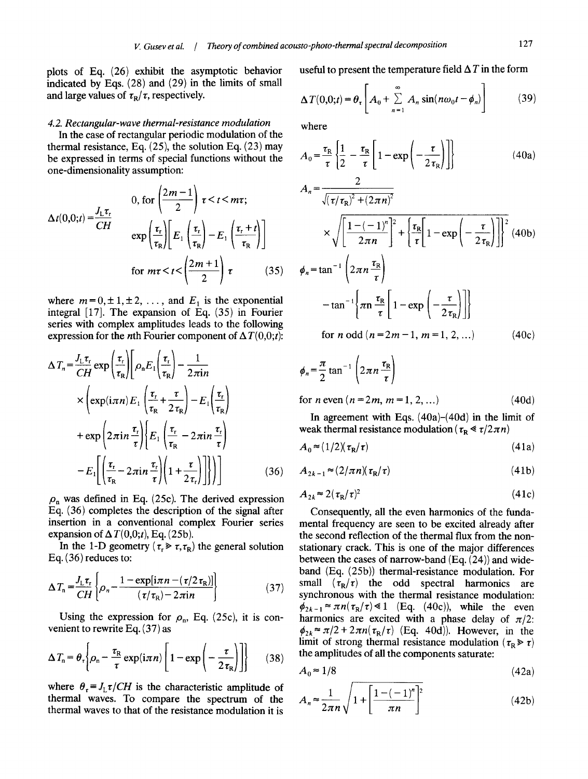plots of Eq. (26) exhibit the asymptotic behavior indicated by Eqs. (28) and (29) in the limits of small and large values of  $\tau_{\rm R}/\tau$ , respectively.

# 4.2. Rectangular-wave thermal-resistance modulation

In the case of rectangular periodic modulation of the thermal resistance, Eq.  $(25)$ , the solution Eq.  $(23)$  may be expressed in terms of special functions without the one-dimensionality assumption:

$$
\Delta t(0,0;t) = \frac{J_{\rm L}\tau_{\rm r}}{CH} \qquad \begin{array}{c} 0, \text{ for } \left(\frac{2m-1}{2}\right)\tau < t < m\tau; \\ \exp\left(\frac{\tau_{\rm r}}{\tau_{\rm R}}\right) \left[E_{\rm 1}\left(\frac{\tau_{\rm r}}{\tau_{\rm R}}\right) - E_{\rm 1}\left(\frac{\tau_{\rm r} + t}{\tau_{\rm R}}\right)\right] \\ \text{for } m\tau < t < \left(\frac{2m+1}{2}\right)\tau \end{array} \qquad (35)
$$

where  $m=0, \pm 1, \pm 2, \ldots$ , and  $E_1$  is the exponential integral [17]. The expansion of Eq. (35) in Fourier series with complex amplitudes leads to the following expression for the *n*th Fourier component of  $\Delta T(0,0;t)$ :

$$
\Delta T_n = \frac{J_L \tau_r}{CH} \exp\left(\frac{\tau_r}{\tau_R}\right) \left[\rho_n E_1 \left(\frac{\tau_r}{\tau_R}\right) - \frac{1}{2 \pi i n}\right]
$$
  
\n
$$
\times \left(\exp(i \pi n) E_1 \left(\frac{\tau_r}{\tau_R} + \frac{\tau}{2 \tau_R}\right) - E_1 \left(\frac{\tau_r}{\tau_R}\right)\right)
$$
  
\n
$$
+ \exp\left(2 \pi i n \frac{\tau_r}{\tau}\right) \left\{E_1 \left(\frac{\tau_r}{\tau_R} - 2 \pi i n \frac{\tau_r}{\tau}\right)\right\}
$$
  
\n
$$
- E_1 \left[\left(\frac{\tau_r}{\tau_R} - 2 \pi i n \frac{\tau_r}{\tau}\right) \left(1 + \frac{\tau}{2 \tau_r}\right) \right]\right)\right]
$$
(36)

 $\rho_n$  was defined in Eq. (25c). The derived expression Eq. (36) completes the description of the signal after insertion in a conventional complex Fourier series expansion of  $\Delta T(0,0;t)$ , Eq. (25b).

In the 1-D geometry ( $\tau_r \gg \tau, \tau_R$ ) the general solution Eq. (36) reduces to:

$$
\Delta T_{\rm n} = \frac{J_{\rm L} \tau_{\rm r}}{CH} \left\{ \rho_n - \frac{1 - \exp[i\pi n - (\tau/2\tau_{\rm R})]}{(\tau/\tau_{\rm R}) - 2\pi i n} \right\} \tag{37}
$$

Using the expression for  $\rho_n$ , Eq. (25c), it is convenient to rewrite Eq. (37) as

$$
\Delta T_{\rm n} = \theta_{\rm r} \left\{ \rho_{\rm n} - \frac{\tau_{\rm R}}{\tau} \exp(i\pi n) \left[ 1 - \exp\left( -\frac{\tau}{2\tau_{\rm R}} \right) \right] \right\} \tag{38}
$$

where  $\theta_{\tau} = J_{\text{L}}\tau / CH$  is the characteristic amplitude of thermal waves. To compare the spectrum of the thermal waves to that of the resistance modulation it is

useful to present the temperature field  $\Delta T$  in the form

$$
\Delta T(0,0;t) = \theta_{\tau} \left[ A_0 + \sum_{n=1}^{\infty} A_n \sin(n\omega_0 t - \phi_n) \right]
$$
 (39)

where

$$
A_0 = \frac{\tau_R}{\tau} \left\{ \frac{1}{2} - \frac{\tau_R}{\tau} \left[ 1 - \exp\left( -\frac{\tau}{2 \tau_R} \right) \right] \right\}
$$
(40a)  

$$
A_n = \frac{2}{\sqrt{(\tau/\tau_R)^2 + (2\pi n)^2}}
$$

$$
\times \sqrt{\left[ \frac{1 - (-1)^n}{2\pi n} \right]^2 + \left\{ \frac{\tau_R}{\tau} \left[ 1 - \exp\left( -\frac{\tau}{2 \tau_R} \right) \right] \right\}^2 (40b)
$$

$$
\phi_n = \tan^{-1} \left( 2\pi n \frac{\tau_R}{\tau} \right)
$$

$$
-\tan^{-1} \left\{ \pi n \frac{\tau_R}{\tau} \left[ 1 - \exp\left( -\frac{\tau}{2 \tau_R} \right) \right] \right\}
$$
for  $n$  odd  $(n = 2m - 1, m = 1, 2, ...)$  (40c)

$$
\phi_n = \frac{\pi}{2} \tan^{-1} \left( 2\pi n \frac{\tau_{\rm R}}{\tau} \right)
$$

for *n* even (
$$
n = 2m
$$
,  $m = 1, 2, ...$ ) (40d)

In agreement with Eqs.  $(40a)$ - $(40d)$  in the limit of weak thermal resistance modulation ( $\tau_R \leq \tau/2\pi n$ )

$$
A_0 \approx (1/2)(\tau_{\rm R}/\tau) \tag{41a}
$$

$$
A_{2k-1} \approx (2/\pi n)(\tau_{\rm R}/\tau) \tag{41b}
$$

$$
A_{2k} \approx 2(\tau_{\rm R}/\tau)^2 \tag{41c}
$$

Consequently, all the even harmonics of the fundamental frequency are seen to be excited already after the second reflection of the thermal flux from the nonstationary crack. This is one of the major differences between the cases of narrow-band (Eq. (24)) and wideband (Eq. (25b)) thermal-resistance modulation. For small  $(\tau_R/\tau)$  the odd spectral harmonics are synchronous with the thermal resistance modulation:  $\phi_{2k-1} \approx \pi n(\tau_R/\tau) \leq 1$  (Eq. (40c)), while the even harmonics are excited with a phase delay of  $\pi/2$ :  $\phi_{2k} \approx \pi/2 + 2\pi n(\tau_R/\tau)$  (Eq. 40d)). However, in the limit of strong thermal resistance modulation ( $\tau_R \ge \tau$ ) the amplitudes of all the components saturate:

$$
A_0 \approx 1/8 \tag{42a}
$$

$$
A_n \approx \frac{1}{2\pi n} \sqrt{1 + \left[\frac{1 - (-1)^n}{\pi n}\right]^2}
$$
 (42b)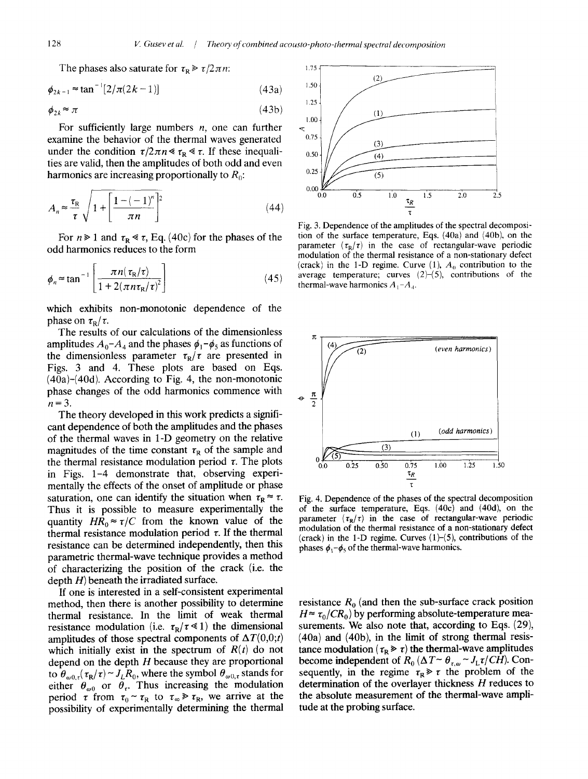The phases also saturate for  $\tau_R \ge \tau/2\pi n$ : 1.75

$$
\phi_{2k-1} \approx \tan^{-1}[2/\pi(2k-1)] \tag{43a}
$$

$$
\phi_{2k} \approx \pi \tag{43b}
$$

For sufficiently large numbers *n*, one can further  $\leq$  0.75 examine the behavior of the thermal waves generated under the condition  $\tau/2\pi n \ll \tau_R \ll \tau$ . If these inequali- 0.50 ties are valid, then the amplitudes of both odd and even harmonics are increasing proportionally to  $R_0$ : 0.25

$$
A_n \approx \frac{\tau_{\rm R}}{\tau} \sqrt{1 + \left[\frac{1 - (-1)^n}{\pi n}\right]^2}
$$
 (44)

For  $n \geq 1$  and  $\tau_R \leq \tau$ , Eq. (40c) for the phases of the odd harmonics reduces to the form

$$
\phi_n \approx \tan^{-1} \left[ \frac{\pi n (\tau_R/\tau)}{1 + 2(\pi n \tau_R/\tau)^2} \right]
$$
\n(45)

which exhibits non-monotonic dependence of the phase on  $\tau_{\rm R}/r$ .

The results of our calculations of the dimensionless amplitudes  $A_0$ – $A_4$  and the phases  $\phi_1$ – $\phi_5$  as functions of the dimensionless parameter  $\tau_R/\tau$  are presented in Figs. 3 and 4. These plots are based on Eqs.  $(40a)$ - $(40d)$ . According to Fig. 4, the non-monotonic phase changes of the odd harmonics commence with  $n=3$ .

The theory developed in this work predicts a significant dependence of both the amplitudes and the phases of the thermal waves in 1-D geometry on the relative magnitudes of the time constant  $\tau_R$  of the sample and the thermal resistance modulation period  $\tau$ . The plots in Figs. 1-4 demonstrate that, observing experimentally the effects of the onset of amplitude or phase saturation, one can identify the situation when  $\tau_R \approx \tau$ . Thus it is possible to measure experimentally the quantity  $HR_0 \approx \tau/C$  from the known value of the thermal resistance modulation period  $\tau$ . If the thermal resistance can be determined independently, then this parametric thermal-wave technique provides a method of characterizing the position of the crack (i.e, the depth  $H$ ) beneath the irradiated surface.

If one is interested in a self-consistent experimental method, then there is another possibility to determine thermal resistance. In the limit of weak thermal resistance modulation (i.e.  $\tau_R/\tau \ll 1$ ) the dimensional amplitudes of those spectral components of  $\Delta T(0,0;t)$ which initially exist in the spectrum of  $R(t)$  do not depend on the depth  $H$  because they are proportional to  $\theta_{\omega 0,\tau}(\tau_R/\tau) \sim J_L R_0$ , where the symbol  $\theta_{\omega 0,\tau}$  stands for either  $\theta_{\omega 0}$  or  $\theta_{\tau}$ . Thus increasing the modulation period  $\tau$  from  $\tau_0 \sim \tau_R$  to  $\tau_\infty \gg \tau_R$ , we arrive at the possibility of experimentally determining the thermal



Fig. 3. Dependence of the amplitudes of the spectral decomposition of the surface temperature, Eqs. (404) and (40b), on the parameter  $(\tau_R/\tau)$  in the case of rectangular-wave periodic modulation of the thermal resistance of a non-stationary defect (crack) in the 1-D regime. Curve (1),  $A_0$  contribution to the average temperature; curves  $(2)$ - $(5)$ , contributions of the thermal-wave harmonics  $A_1$ - $A_4$ .



Fig. 4. Dependence of the phases of the spectral decomposition of the surface temperature, Eqs. (40c) and (40d), on the parameter  $(\tau_R/\tau)$  in the case of rectangular-wave periodic modulation of the thermal resistance of a non-stationary defect (crack) in the 1-D regime. Curves  $(1)$ – $(5)$ , contributions of the phases  $\phi_1 - \phi_5$  of the thermal-wave harmonics.

resistance  $R_0$  (and then the sub-surface crack position  $H \approx \tau_0/CR_0$ ) by performing absolute-temperature measurements. We also note that, according to Eqs. (29), (40a) and (40b), in the limit of strong thermal resistance modulation ( $\tau_R \ge \tau$ ) the thermal-wave amplitudes become independent of  $R_0$  ( $\Delta T \sim \theta_{\tau,\omega} \sim J_L \tau / CH$ ). Consequently, in the regime  $\tau_R \geq \tau$  the problem of the determination of the overlayer thickness H reduces to the absolute measurement of the thermal-wave amplitude at the probing surface.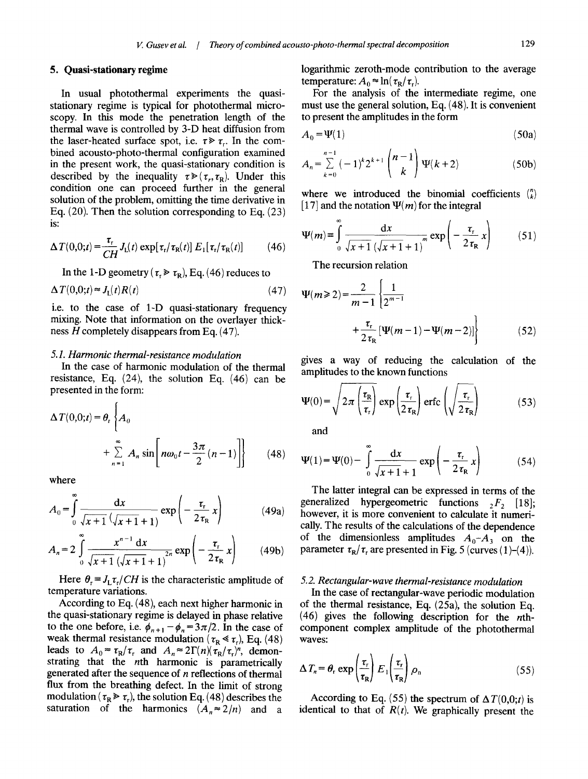## **5. Quasi-stationary regime**

In usual photothermal experiments the quasistationary regime is typical for photothermal microscopy. In this mode the penetration length of the thermal wave is controlled by 3-D heat diffusion from the laser-heated surface spot, i.e.  $\tau \ge \tau_r$ . In the combined acousto-photo-thermal configuration examined in the present work, the quasi-stationary condition is described by the inequality  $\tau \geq (\tau_r, \tau_R)$ . Under this condition one can proceed further in the general solution of the problem, omitting the time derivative in Eq. (20). Then the solution corresponding to Eq. (23) **is:** 

$$
\Delta T(0,0;t) = \frac{\tau_r}{CH} J_{\rm L}(t) \exp[\tau_{\rm r}/\tau_{\rm R}(t)] E_{\rm L}[\tau_{\rm r}/\tau_{\rm R}(t)] \tag{46}
$$

In the 1-D geometry ( $\tau_r \gg \tau_R$ ), Eq. (46) reduces to

$$
\Delta T(0,0;t) \approx J_{\rm L}(t)R(t) \tag{47}
$$

i.e. to the case of 1-D quasi-stationary frequency mixing. Note that information on the overlayer thickness  $H$  completely disappears from Eq. (47).

#### *5.1. Harmonic thermal-resistance modulation*

In the case of harmonic modulation of the thermal resistance, Eq. (24), the solution Eq. (46) can be presented in the form:

$$
\Delta T(0,0;t) = \theta_r \left\{ A_0 + \sum_{n=1}^{\infty} A_n \sin \left[ n \omega_0 t - \frac{3\pi}{2} (n-1) \right] \right\}
$$
 (48)

where

$$
A_0 = \int_0^\infty \frac{\mathrm{d}x}{\sqrt{x+1} \left(\sqrt{x+1}+1\right)} \exp\left(-\frac{\tau_r}{2\tau_R}x\right) \tag{49a}
$$

$$
A_n = 2 \int_0^{\infty} \frac{x^{n-1} dx}{\sqrt{x+1} (\sqrt{x+1} + 1)^{2n}} \exp\left(-\frac{\tau_r}{2\tau_R} x\right) \qquad (49b)
$$

Here  $\theta_r = J_L \tau_r / CH$  is the characteristic amplitude of temperature variations.

According to Eq. (48), each next higher harmonic in the quasi-stationary regime is delayed in phase relative to the one before, i.e.  $\phi_{n+1}-\phi_n=3\pi/2$ . In the case of weak thermal resistance modulation ( $\tau_R \ll \tau_r$ ), Eq. (48) leads to  $A_0 \approx \tau_R/\tau_r$  and  $A_n \approx 2\Gamma(n)(\tau_R/\tau_r)^n$ , demonstrating that the nth harmonic is parametrically generated after the sequence of n reflections of thermal flux from the breathing defect. In the limit of strong modulation ( $\tau_R \gg \tau_r$ ), the solution Eq. (48) describes the saturation of the harmonics  $(A_n \approx 2/n)$  and a

logarithmic zeroth-mode contribution to the average temperature:  $A_0 \approx \ln(\tau_R/\tau_r)$ .

For the analysis of the intermediate regime, one must use the general solution, Eq. (48). It is convenient to present the amplitudes in the form

$$
A_0 = \Psi(1) \tag{50a}
$$

$$
A_n = \sum_{k=0}^{n-1} (-1)^k 2^{k+1} \binom{n-1}{k} \Psi(k+2)
$$
 (50b)

where we introduced the binomial coefficients  $\binom{n}{k}$ [17] and the notation  $\Psi(m)$  for the integral

$$
\Psi(m) \equiv \int_{0}^{\infty} \frac{\mathrm{d}x}{\sqrt{x+1} \left(\sqrt{x+1}+1\right)^{m}} \exp\left(-\frac{\tau_{r}}{2\tau_{R}}x\right) \tag{51}
$$

The recursion relation

$$
\Psi(m \ge 2) = \frac{2}{m-1} \left\{ \frac{1}{2^{m-1}} + \frac{\tau_r}{2\tau_R} \left[ \Psi(m-1) - \Psi(m-2) \right] \right\}
$$
(52)

gives a way of reducing the calculation of the amplitudes to the known functions

$$
\Psi(0) = \sqrt{2\pi \left(\frac{\tau_{\rm R}}{\tau_{\rm r}}\right)} \exp\left(\frac{\tau_{\rm r}}{2\tau_{\rm R}}\right) \text{erfc}\left(\sqrt{\frac{\tau_{\rm r}}{2\tau_{\rm R}}}\right) \tag{53}
$$

and

$$
\Psi(1) = \Psi(0) - \int_0^\infty \frac{\mathrm{d}x}{\sqrt{x+1}+1} \exp\left(-\frac{\tau_r}{2\,\tau_\text{R}}\,x\right) \tag{54}
$$

The latter integral can be expressed in terms of the generalized hypergeometric functions  ${}_2F_2$  [18]; however, it is more convenient to calculate it numerically. The results of the calculations of the dependence of the dimensionless amplitudes  $A_0$ - $A_3$  on the parameter  $\tau_R/\tau_r$  are presented in Fig. 5 (curves (1)–(4)).

#### *5.2. Rectangular-wave thermal-resistance modulation*

In the case of rectangular-wave periodic modulation of the thermal resistance, Eq. (25a), the solution Eq. (46) gives the following description for the nthcomponent complex amplitude of the photothermal waves:

$$
\Delta T_n = \theta_r \exp\left(\frac{\tau_r}{\tau_R}\right) E_1\left(\frac{\tau_r}{\tau_R}\right) \rho_n \tag{55}
$$

According to Eq. (55) the spectrum of  $\Delta T(0,0;t)$  is identical to that of  $R(t)$ . We graphically present the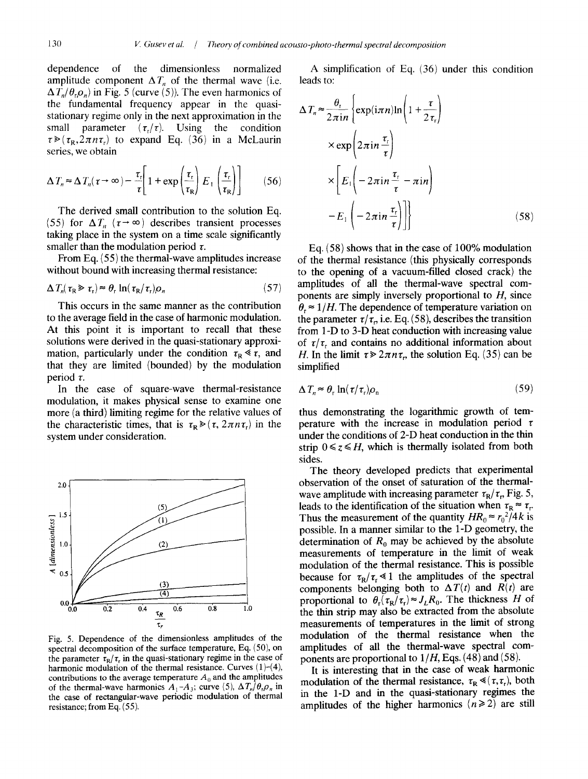dependence of the dimensionless normalized amplitude component  $\Delta T_n$  of the thermal wave (i.e.  $\Delta T_n/\theta_r\rho_n$  in Fig. 5 (curve (5)). The even harmonics of the fundamental frequency appear in the quasistationary regime only in the next approximation in the small parameter  $(\tau_r/\tau)$ . Using the condition  $\tau \geq (\tau_{\rm R}, 2\pi n \tau_{\rm r})$  to expand Eq. (36) in a McLaurin series, we obtain

$$
\Delta T_n \approx \Delta T_n(\tau \to \infty) - \frac{\tau_r}{\tau} \left[ 1 + \exp\left(\frac{\tau_r}{\tau_R}\right) E_1\left(\frac{\tau_r}{\tau_R}\right) \right] \tag{56}
$$

The derived small contribution to the solution Eq. (55) for  $\Delta T_n$  ( $\tau \rightarrow \infty$ ) describes transient processes taking place in the system on a time scale significantly smaller than the modulation period  $\tau$ .

From Eq. (55) the thermal-wave amplitudes increase without bound with increasing thermal resistance:

$$
\Delta T_n(\tau_{\rm R} \gg \tau_{\rm r}) \approx \theta_{\rm r} \ln(\tau_{\rm R}/\tau_{\rm r}) \rho_n \tag{57}
$$

This occurs in the same manner as the contribution to the average field in the case of harmonic modulation. At this point it is important to recall that these solutions were derived in the quasi-stationary approximation, particularly under the condition  $\tau_R \leq \tau$ , and that they are limited (bounded) by the modulation period  $\tau$ .

In the case of square-wave thermal-resistance modulation, it makes physical sense to examine one more (a third) limiting regime for the relative values of the characteristic times, that is  $\tau_R \geq (\tau, 2\pi n \tau_r)$  in the system under consideration.



Fig. 5. Dependence of the dimensionless amplitudes of the spectral decomposition of the surface temperature, Eq. (50), on the parameter  $\tau_R/\tau_r$  in the quasi-stationary regime in the case of harmonic modulation of the thermal resistance. Curves  $(1)-(4)$ , contributions to the average temperature  $A_0$  and the amplitudes of the thermal-wave harmonics  $A_1 - A_3$ ; curve (5),  $\Delta T_n / \theta_n \rho_n$  in the case of rectangular-wave periodic modulation of thermal resistance; from Eq. (55).

A simplification of Eq. (36) under this condition leads to:

$$
\Delta T_n \approx \frac{\theta_r}{2\pi i n} \left\{ \exp(i\pi n) \ln \left( 1 + \frac{\tau}{2\tau_r} \right) \right\}
$$
  
\n
$$
\times \exp \left( 2\pi i n \frac{\tau_r}{\tau} \right)
$$
  
\n
$$
\times \left[ E_1 \left( -2\pi i n \frac{\tau_r}{\tau} - \pi i n \right) \right]
$$
  
\n
$$
-E_1 \left( -2\pi i n \frac{\tau_r}{\tau} \right) \right]
$$
  
\n(58)

Eq.  $(58)$  shows that in the case of 100% modulation of the thermal resistance (this physically corresponds to the opening of a vacuum-filled closed crack) the amplitudes of all the thermal-wave spectral components are simply inversely proportional to  $H$ , since  $\theta_r \approx 1/H$ . The dependence of temperature variation on the parameter  $\tau/\tau_{\rm c}$ , i.e. Eq. (58), describes the transition from 1-D to 3-D heat conduction with increasing value of  $\tau/\tau$  and contains no additional information about H. In the limit  $\tau \geq 2\pi n \tau$ , the solution Eq. (35) can be simplified

$$
\Delta T_n \approx \theta_r \ln(\tau/\tau_r) \rho_n \tag{59}
$$

thus demonstrating the logarithmic growth of temperature with the increase in modulation period  $\tau$ under the conditions of 2-D heat conduction in the thin strip  $0 \le z \le H$ , which is thermally isolated from both sides.

The theory developed predicts that experimental observation of the onset of saturation of the thermalwave amplitude with increasing parameter  $\tau_R/\tau_r$ , Fig. 5, leads to the identification of the situation when  $\tau_R \approx \tau_r$ . Thus the measurement of the quantity  $HR_0 \approx r_0^2/4k$  is possible. In a manner similar to the 1-D geometry, the determination of  $R_0$  may be achieved by the absolute measurements of temperature in the limit of weak modulation of the thermal resistance. This is possible because for  $\tau_R/\tau_r \ll 1$  the amplitudes of the spectral components belonging both to  $\Delta T(t)$  and  $R(t)$  are proportional to  $\theta_r(\tau_R/\tau_r) \approx J_L R_0$ . The thickness H of the thin strip may also be extracted from the absolute measurements of temperatures in the limit of strong modulation of the thermal resistance when the amplitudes of all the thermal-wave spectral components are proportional to *1/H,* Eqs. (48) and (58).

It is interesting that in the case of weak harmonic modulation of the thermal resistance,  $\tau_R \ll (\tau, \tau_r)$ , both in the 1-D and in the quasi-stationary regimes the amplitudes of the higher harmonics  $(n\geq 2)$  are still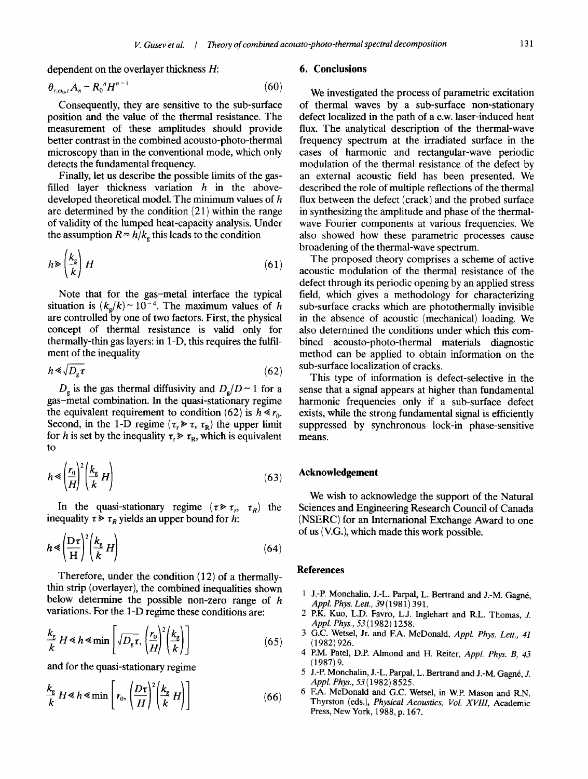dependent on the overlayer thickness H:

$$
\theta_{r,\omega_0,t}A_n \sim R_0{}^n H^{n-1} \tag{60}
$$

Consequently, they are sensitive to the sub-surface position and the value of the thermal resistance. The measurement of these amplitudes should provide better contrast in the combined acousto-photo-thermal microscopy than in the conventional mode, which only detects the fundamental frequency.

Finally, let us describe the possible limits of the gasfilled layer thickness variation  $h$  in the abovedeveloped theoretical model. The minimum values of h are determined by the condition (21) within the range of validity of the lumped heat-capacity analysis. Under the assumption  $R \approx h/k<sub>g</sub>$  this leads to the condition

$$
h \ge \left(\frac{k_{\rm g}}{k}\right) H \tag{61}
$$

Note that for the gas-metal interface the typical situation is  $(k_g/k) \sim 10^{-4}$ . The maximum values of h are controlled by one of two factors. First, the physical concept of thermal resistance is valid only for thermally-thin gas layers: in l-D, this requires the fulfilment of the inequality

$$
h \ll \sqrt{D_{\rm g}\tau} \tag{62}
$$

 $D_{\rm g}$  is the gas thermal diffusivity and  $D_{\rm g}/D \sim 1$  for a gas-metal combination. In the quasi-stationary regime the equivalent requirement to condition (62) is  $h \ll r_0$ . Second, in the 1-D regime ( $\tau_r \gg \tau$ ,  $\tau_R$ ) the upper limit for h is set by the inequality  $\tau_r \geq \tau_R$ , which is equivalent to

$$
h \ll \left(\frac{r_0}{H}\right)^2 \left(\frac{k_{\rm g}}{k} H\right) \tag{63}
$$

In the quasi-stationary regime  $(\tau \ge \tau_r, \tau_R)$  the inequality  $\tau \geq \tau_R$  yields an upper bound for h:

$$
h \ll \left(\frac{\mathbf{D}\tau}{\mathbf{H}}\right)^2 \left(\frac{k_{\rm g}}{k} H\right) \tag{64}
$$

Therefore, under the condition (12) of a thermallythin strip (overlayer), the combined inequalities shown below determine the possible non-zero range of  $h$ variations. For the 1-D regime these conditions are:

$$
\frac{k_{\rm g}}{k} H \ll h \ll \min\left[\sqrt{D_{\rm g}\tau}, \left(\frac{r_0}{H}\right)^2 \left(\frac{k_{\rm g}}{k}\right)\right]
$$
\n(65)

and for the quasi-stationary regime

$$
\frac{k_{\rm g}}{k} H \ll h \ll \min\left[r_0, \left(\frac{D\tau}{H}\right)^2 \left(\frac{k_{\rm g}}{k} H\right)\right]
$$
\n(66)

#### **6. Conclusions**

We investigated the process of parametric excitation of thermal waves by a sub-surface non-stationary defect localized in the path of a c.w. laser-induced heat flux. The analytical description of the thermal-wave frequency spectrum at the irradiated surface in the cases of harmonic and rectangular-wave periodic modulation of the thermal resistance of the defect by an external acoustic field has been presented. We described the role of multiple reflections of the thermal flux between the defect (crack) and the probed surface in synthesizing the amplitude and phase of the thermalwave Fourier components at various frequencies. We also showed how these parametric processes cause broadening of the thermal-wave spectrum.

The proposed theory comprises a scheme of active acoustic modulation of the thermal resistance of the defect through its periodic opening by an applied stress field, which gives a methodology for characterizing sub-surface cracks which are photothermally invisible in the absence of acoustic (mechanical) loading. We also determined the conditions under which this combined acousto-photo-thermal materials diagnostic method can be applied to obtain information on the sub-surface localization of cracks.

This type of information is defect-selective in the sense that a signal appears at higher than fundamental harmonic frequencies only if a sub-surface defect exists, while the strong fundamental signal is efficiently suppressed by synchronous lock-in phase-sensitive means.

# **Acknowledgement**

We wish to acknowledge the support of the Natural Sciences and Engineering Research Council of Canada (NSERC) for an International Exchange Award to one of us (V.G.), which made this work possible.

## **References**

- 1 J.-P. Monchalin, J.-L. Parpal, L. Bertrand and J.-M. Gagné, *Appl. Phys. Lett.,* 39(1981) 391.
- 2 P.K. Kuo, L.D. Favro, L.J. Inglehart and R.L. Thomas, J. *Appl. Phys., 53* (1982) 1258.
- 3 G.C. Wetsel, Jr. and EA. McDonald, *Appl. Phys. Lett., 41*  (1982) 926.
- 4 P.M. Patel, D.E Almond and H. Reiter, *AppL Phys. B, 43*  (1987) 9.
- 5 J.-P. Monchalin, J.-L. Parpal, L. Bertrand and J.-M. Gagné, J. *Appl. Phys.,* 53(1982)8525.
- 6 F.A. McDonald and G.C. Wetsel, in W.P. Mason and R.N. Thyrston (eds.), *Physical Acoustics, VoL XVIII,* Academic Press, New York, 1988, p. 167.